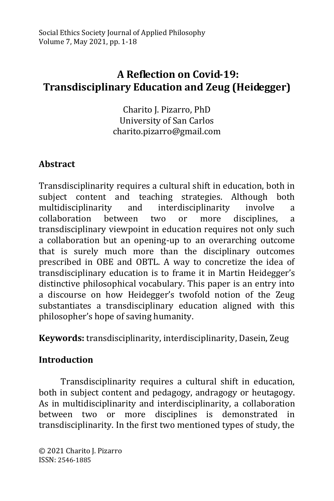# **A Reflection on Covid-19: Transdisciplinary Education and Zeug (Heidegger)**

Charito J. Pizarro, PhD University of San Carlos charito.pizarro@gmail.com

## **Abstract**

Transdisciplinarity requires a cultural shift in education, both in subject content and teaching strategies. Although both multidisciplinarity and interdisciplinarity involve a collaboration between two or more disciplines, a transdisciplinary viewpoint in education requires not only such a collaboration but an opening-up to an overarching outcome that is surely much more than the disciplinary outcomes prescribed in OBE and OBTL. A way to concretize the idea of transdisciplinary education is to frame it in Martin Heidegger's distinctive philosophical vocabulary. This paper is an entry into a discourse on how Heidegger's twofold notion of the Zeug substantiates a transdisciplinary education aligned with this philosopher's hope of saving humanity.

**Keywords:** transdisciplinarity, interdisciplinarity, Dasein, Zeug

## **Introduction**

Transdisciplinarity requires a cultural shift in education, both in subject content and pedagogy, andragogy or heutagogy. As in multidisciplinarity and interdisciplinarity, a collaboration between two or more disciplines is demonstrated in transdisciplinarity. In the first two mentioned types of study, the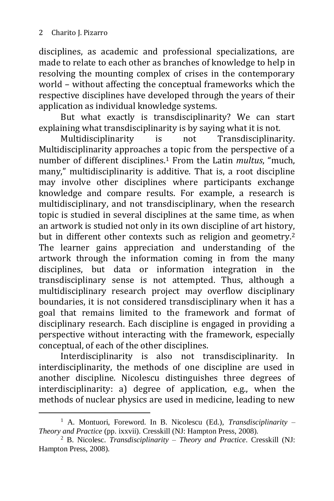-

disciplines, as academic and professional specializations, are made to relate to each other as branches of knowledge to help in resolving the mounting complex of crises in the contemporary world – without affecting the conceptual frameworks which the respective disciplines have developed through the years of their application as individual knowledge systems.

But what exactly is transdisciplinarity? We can start explaining what transdisciplinarity is by saying what it is not.

Multidisciplinarity is not Transdisciplinarity. Multidisciplinarity approaches a topic from the perspective of a number of different disciplines. <sup>1</sup> From the Latin *multus*, "much, many," multidisciplinarity is additive. That is, a root discipline may involve other disciplines where participants exchange knowledge and compare results. For example, a research is multidisciplinary, and not transdisciplinary, when the research topic is studied in several disciplines at the same time, as when an artwork is studied not only in its own discipline of art history, but in different other contexts such as religion and geometry.<sup>2</sup> The learner gains appreciation and understanding of the artwork through the information coming in from the many disciplines, but data or information integration in the transdisciplinary sense is not attempted. Thus, although a multidisciplinary research project may overflow disciplinary boundaries, it is not considered transdisciplinary when it has a goal that remains limited to the framework and format of disciplinary research. Each discipline is engaged in providing a perspective without interacting with the framework, especially conceptual, of each of the other disciplines.

Interdisciplinarity is also not transdisciplinarity. In interdisciplinarity, the methods of one discipline are used in another discipline. Nicolescu distinguishes three degrees of interdisciplinarity: a) degree of application, e.g., when the methods of nuclear physics are used in medicine, leading to new

<sup>1</sup> A. Montuori, Foreword. In B. Nicolescu (Ed.), *Transdisciplinarity – Theory and Practice* (pp. ixxvii). Cresskill (NJ: Hampton Press, 2008).

<sup>2</sup> B. Nicolesc. *Transdisciplinarity – Theory and Practice*. Cresskill (NJ: Hampton Press, 2008).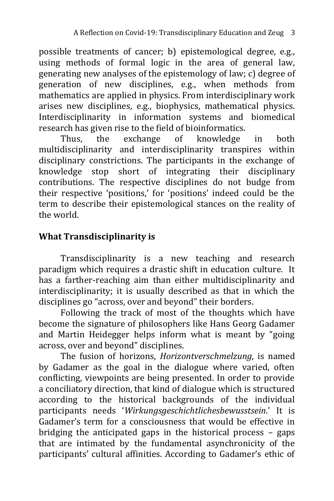possible treatments of cancer; b) epistemological degree, e.g., using methods of formal logic in the area of general law, generating new analyses of the epistemology of law; c) degree of generation of new disciplines, e.g., when methods from mathematics are applied in physics. From interdisciplinary work arises new disciplines, e.g., biophysics, mathematical physics. Interdisciplinarity in information systems and biomedical research has given rise to the field of bioinformatics.

Thus, the exchange of knowledge in both multidisciplinarity and interdisciplinarity transpires within disciplinary constrictions. The participants in the exchange of knowledge stop short of integrating their disciplinary contributions. The respective disciplines do not budge from their respective 'positions,' for 'positions' indeed could be the term to describe their epistemological stances on the reality of the world.

## **What Transdisciplinarity is**

Transdisciplinarity is a new teaching and research paradigm which requires a drastic shift in education culture. It has a farther-reaching aim than either multidisciplinarity and interdisciplinarity; it is usually described as that in which the disciplines go "across, over and beyond" their borders.

Following the track of most of the thoughts which have become the signature of philosophers like Hans Georg Gadamer and Martin Heidegger helps inform what is meant by "going across, over and beyond" disciplines.

The fusion of horizons, *Horizontverschmelzung*, is named by Gadamer as the goal in the dialogue where varied, often conflicting, viewpoints are being presented. In order to provide a conciliatory direction, that kind of dialogue which is structured according to the historical backgrounds of the individual participants needs '*Wirkungsgeschichtlichesbewusstsein*.' It is Gadamer's term for a consciousness that would be effective in bridging the anticipated gaps in the historical process – gaps that are intimated by the fundamental asynchronicity of the participants' cultural affinities. According to Gadamer's ethic of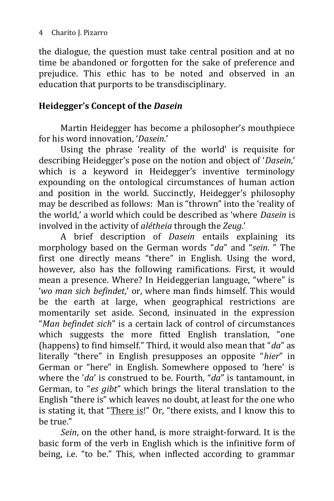the dialogue, the question must take central position and at no time be abandoned or forgotten for the sake of preference and prejudice. This ethic has to be noted and observed in an education that purports to be transdisciplinary.

#### **Heidegger's Concept of the** *Dasein*

Martin Heidegger has become a philosopher's mouthpiece for his word innovation, '*Dasein*.'

Using the phrase 'reality of the world' is requisite for describing Heidegger's pose on the notion and object of '*Dasein*,' which is a keyword in Heidegger's inventive terminology expounding on the ontological circumstances of human action and position in the world. Succinctly, Heidegger's philosophy may be described as follows: Man is "thrown" into the 'reality of the world,' a world which could be described as 'where *Dasein* is involved in the activity of *alétheia* through the *Zeug*.'

A brief description of *Dasein* entails explaining its morphology based on the German words "*da*" and "*sein*. " The first one directly means "there" in English. Using the word, however, also has the following ramifications. First, it would mean a presence. Where? In Heideggerian language, "where" is '*wo man sich befindet*,' or, where man finds himself. This would be the earth at large, when geographical restrictions are momentarily set aside. Second, insinuated in the expression "*Man befindet sich*" is a certain lack of control of circumstances which suggests the more fitted English translation, "one (happens) to find himself." Third, it would also mean that "*da*" as literally "there" in English presupposes an opposite "*hier*" in German or "here" in English. Somewhere opposed to 'here' is where the '*da*' is construed to be. Fourth, "*da*" is tantamount, in German, to "*es gibt*" which brings the literal translation to the English "there is" which leaves no doubt, at least for the one who is stating it, that "There is!" Or, "there exists, and I know this to be true."

*Sein*, on the other hand, is more straight-forward. It is the basic form of the verb in English which is the infinitive form of being, i.e. "to be." This, when inflected according to grammar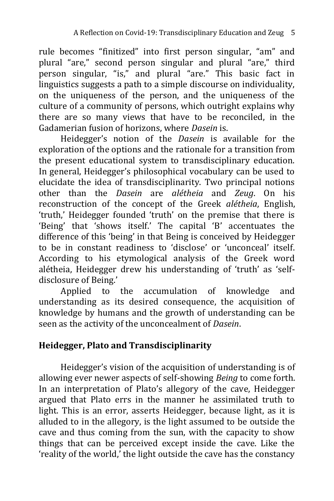rule becomes "finitized" into first person singular, "am" and plural "are," second person singular and plural "are," third person singular, "is," and plural "are." This basic fact in linguistics suggests a path to a simple discourse on individuality, on the uniqueness of the person, and the uniqueness of the culture of a community of persons, which outright explains why there are so many views that have to be reconciled, in the Gadamerian fusion of horizons, where *Dasein* is.

Heidegger's notion of the *Dasein* is available for the exploration of the options and the rationale for a transition from the present educational system to transdisciplinary education. In general, Heidegger's philosophical vocabulary can be used to elucidate the idea of transdisciplinarity. Two principal notions other than the *Dasein* are *alétheia* and *Zeug*. On his reconstruction of the concept of the Greek *alétheia*, English, 'truth,' Heidegger founded 'truth' on the premise that there is 'Being' that 'shows itself.' The capital 'B' accentuates the difference of this 'being' in that Being is conceived by Heidegger to be in constant readiness to 'disclose' or 'unconceal' itself. According to his etymological analysis of the Greek word alétheia, Heidegger drew his understanding of 'truth' as 'selfdisclosure of Being.'

Applied to the accumulation of knowledge and understanding as its desired consequence, the acquisition of knowledge by humans and the growth of understanding can be seen as the activity of the unconcealment of *Dasein*.

### **Heidegger, Plato and Transdisciplinarity**

Heidegger's vision of the acquisition of understanding is of allowing ever newer aspects of self-showing *Being* to come forth. In an interpretation of Plato's allegory of the cave, Heidegger argued that Plato errs in the manner he assimilated truth to light. This is an error, asserts Heidegger, because light, as it is alluded to in the allegory, is the light assumed to be outside the cave and thus coming from the sun, with the capacity to show things that can be perceived except inside the cave. Like the 'reality of the world,' the light outside the cave has the constancy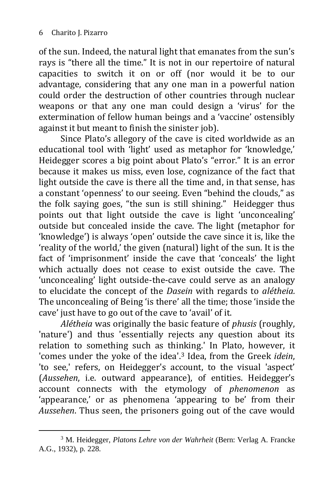of the sun. Indeed, the natural light that emanates from the sun's rays is "there all the time." It is not in our repertoire of natural capacities to switch it on or off (nor would it be to our advantage, considering that any one man in a powerful nation could order the destruction of other countries through nuclear weapons or that any one man could design a 'virus' for the extermination of fellow human beings and a 'vaccine' ostensibly against it but meant to finish the sinister job).

Since Plato's allegory of the cave is cited worldwide as an educational tool with 'light' used as metaphor for 'knowledge,' Heidegger scores a big point about Plato's "error." It is an error because it makes us miss, even lose, cognizance of the fact that light outside the cave is there all the time and, in that sense, has a constant 'openness' to our seeing. Even "behind the clouds," as the folk saying goes, "the sun is still shining." Heidegger thus points out that light outside the cave is light 'unconcealing' outside but concealed inside the cave. The light (metaphor for 'knowledge') is always 'open' outside the cave since it is, like the 'reality of the world,' the given (natural) light of the sun. It is the fact of 'imprisonment' inside the cave that 'conceals' the light which actually does not cease to exist outside the cave. The 'unconcealing' light outside-the-cave could serve as an analogy to elucidate the concept of the *Dasein* with regards to *alétheia.* The unconcealing of Being 'is there' all the time; those 'inside the cave' just have to go out of the cave to 'avail' of it.

*Alétheia* was originally the basic feature of *phusis* (roughly, 'nature') and thus 'essentially rejects any question about its relation to something such as thinking.' In Plato, however, it 'comes under the yoke of the idea'.<sup>3</sup> Idea, from the Greek *idein*, 'to see,' refers, on Heidegger's account, to the visual 'aspect' (*Aussehen*, i.e. outward appearance), of entities. Heidegger's account connects with the etymology of *phenomenon* as 'appearance,' or as phenomena 'appearing to be' from their *Aussehen*. Thus seen, the prisoners going out of the cave would

<sup>-</sup><sup>3</sup> M. Heidegger, *Platons Lehre von der Wahrheit* (Bern: Verlag A. Francke A.G., 1932), p. 228.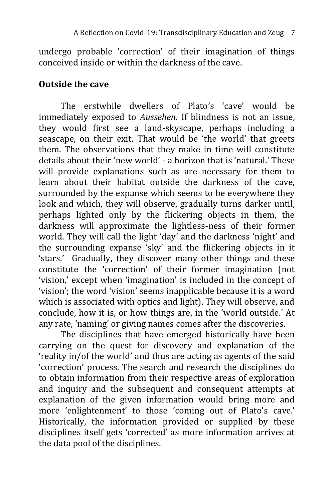undergo probable 'correction' of their imagination of things conceived inside or within the darkness of the cave.

#### **Outside the cave**

The erstwhile dwellers of Plato's 'cave' would be immediately exposed to *Aussehen*. If blindness is not an issue, they would first see a land-skyscape, perhaps including a seascape, on their exit. That would be 'the world' that greets them. The observations that they make in time will constitute details about their 'new world' - a horizon that is 'natural.' These will provide explanations such as are necessary for them to learn about their habitat outside the darkness of the cave, surrounded by the expanse which seems to be everywhere they look and which, they will observe, gradually turns darker until, perhaps lighted only by the flickering objects in them, the darkness will approximate the lightless-ness of their former world. They will call the light 'day' and the darkness 'night' and the surrounding expanse 'sky' and the flickering objects in it 'stars.' Gradually, they discover many other things and these constitute the 'correction' of their former imagination (not 'vision,' except when 'imagination' is included in the concept of 'vision'; the word 'vision' seems inapplicable because it is a word which is associated with optics and light). They will observe, and conclude, how it is, or how things are, in the 'world outside.' At any rate, 'naming' or giving names comes after the discoveries.

The disciplines that have emerged historically have been carrying on the quest for discovery and explanation of the 'reality in/of the world' and thus are acting as agents of the said 'correction' process. The search and research the disciplines do to obtain information from their respective areas of exploration and inquiry and the subsequent and consequent attempts at explanation of the given information would bring more and more 'enlightenment' to those 'coming out of Plato's cave.' Historically, the information provided or supplied by these disciplines itself gets 'corrected' as more information arrives at the data pool of the disciplines.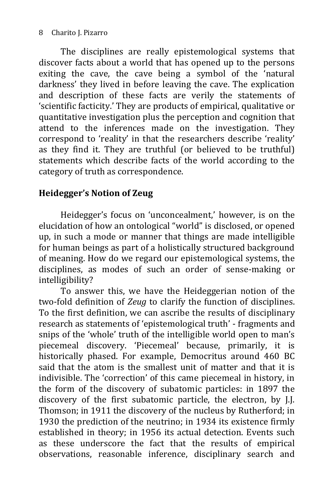The disciplines are really epistemological systems that discover facts about a world that has opened up to the persons exiting the cave, the cave being a symbol of the 'natural darkness' they lived in before leaving the cave. The explication and description of these facts are verily the statements of 'scientific facticity.' They are products of empirical, qualitative or quantitative investigation plus the perception and cognition that attend to the inferences made on the investigation. They correspond to 'reality' in that the researchers describe 'reality' as they find it. They are truthful (or believed to be truthful) statements which describe facts of the world according to the category of truth as correspondence.

## **Heidegger's Notion of Zeug**

Heidegger's focus on 'unconcealment,' however, is on the elucidation of how an ontological "world" is disclosed, or opened up, in such a mode or manner that things are made intelligible for human beings as part of a holistically structured background of meaning. How do we regard our epistemological systems, the disciplines, as modes of such an order of sense-making or intelligibility?

To answer this, we have the Heideggerian notion of the two-fold definition of *Zeug* to clarify the function of disciplines. To the first definition, we can ascribe the results of disciplinary research as statements of 'epistemological truth' - fragments and snips of the 'whole' truth of the intelligible world open to man's piecemeal discovery. 'Piecemeal' because, primarily, it is historically phased. For example, Democritus around 460 BC said that the atom is the smallest unit of matter and that it is indivisible. The 'correction' of this came piecemeal in history, in the form of the discovery of subatomic particles: in 1897 the discovery of the first subatomic particle, the electron, by J.J. Thomson; in 1911 the discovery of the nucleus by Rutherford; in 1930 the prediction of the neutrino; in 1934 its existence firmly established in theory; in 1956 its actual detection. Events such as these underscore the fact that the results of empirical observations, reasonable inference, disciplinary search and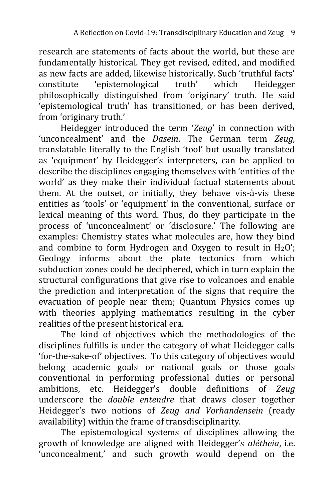research are statements of facts about the world, but these are fundamentally historical. They get revised, edited, and modified as new facts are added, likewise historically. Such 'truthful facts' constitute 'epistemological truth' which Heidegger philosophically distinguished from 'originary' truth. He said 'epistemological truth' has transitioned, or has been derived, from 'originary truth.'

Heidegger introduced the term '*Zeug*' in connection with 'unconcealment' and the *Dasein*. The German term *Zeug*, translatable literally to the English 'tool' but usually translated as 'equipment' by Heidegger's interpreters, can be applied to describe the disciplines engaging themselves with 'entities of the world' as they make their individual factual statements about them. At the outset, or initially, they behave vis-à-vis these entities as 'tools' or 'equipment' in the conventional, surface or lexical meaning of this word. Thus, do they participate in the process of 'unconcealment' or 'disclosure.' The following are examples: Chemistry states what molecules are, how they bind and combine to form Hydrogen and Oxygen to result in  $H_2O'$ : Geology informs about the plate tectonics from which subduction zones could be deciphered, which in turn explain the structural configurations that give rise to volcanoes and enable the prediction and interpretation of the signs that require the evacuation of people near them; Quantum Physics comes up with theories applying mathematics resulting in the cyber realities of the present historical era.

The kind of objectives which the methodologies of the disciplines fulfills is under the category of what Heidegger calls 'for-the-sake-of' objectives. To this category of objectives would belong academic goals or national goals or those goals conventional in performing professional duties or personal ambitions, etc. Heidegger's double definitions of *Zeug* underscore the *double entendre* that draws closer together Heidegger's two notions of *Zeug and Vorhandensein* (ready availability) within the frame of transdisciplinarity.

The epistemological systems of disciplines allowing the growth of knowledge are aligned with Heidegger's *alétheia*, i.e. 'unconcealment,' and such growth would depend on the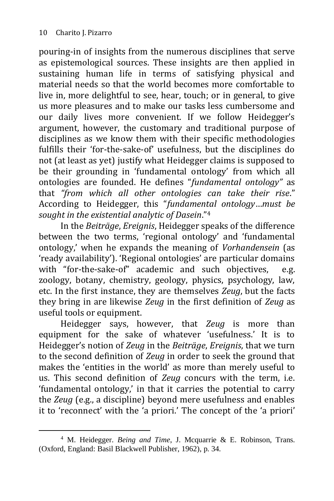-

pouring-in of insights from the numerous disciplines that serve as epistemological sources. These insights are then applied in sustaining human life in terms of satisfying physical and material needs so that the world becomes more comfortable to live in, more delightful to see, hear, touch; or in general, to give us more pleasures and to make our tasks less cumbersome and our daily lives more convenient. If we follow Heidegger's argument, however, the customary and traditional purpose of disciplines as we know them with their specific methodologies fulfills their 'for-the-sake-of' usefulness, but the disciplines do not (at least as yet) justify what Heidegger claims is supposed to be their grounding in 'fundamental ontology' from which all ontologies are founded. He defines "*fundamental ontology"* as that *"from which all other ontologies can take their rise*." According to Heidegger, this "*fundamental ontology*…*must be sought in the existential analytic of Dasein*."<sup>4</sup>

In the *Beiträge*, *Ereignis*, Heidegger speaks of the difference between the two terms, 'regional ontology' and 'fundamental ontology,' when he expands the meaning of *Vorhandensein* (as 'ready availability'). 'Regional ontologies' are particular domains with "for-the-sake-of" academic and such objectives, e.g. zoology, botany, chemistry, geology, physics, psychology, law, etc. In the first instance, they are themselves *Zeug*, but the facts they bring in are likewise *Zeug* in the first definition of *Zeug* as useful tools or equipment.

Heidegger says, however, that *Zeug* is more than equipment for the sake of whatever 'usefulness.' It is to Heidegger's notion of *Zeug* in the *Beiträge*, *Ereignis*, that we turn to the second definition of *Zeug* in order to seek the ground that makes the 'entities in the world' as more than merely useful to us. This second definition of *Zeug* concurs with the term, i.e. 'fundamental ontology,' in that it carries the potential to carry the *Zeug* (e.g., a discipline) beyond mere usefulness and enables it to 'reconnect' with the 'a priori.' The concept of the 'a priori'

<sup>4</sup> M. Heidegger. *Being and Time*, J. Mcquarrie & E. Robinson, Trans. (Oxford, England: Basil Blackwell Publisher, 1962), p. 34.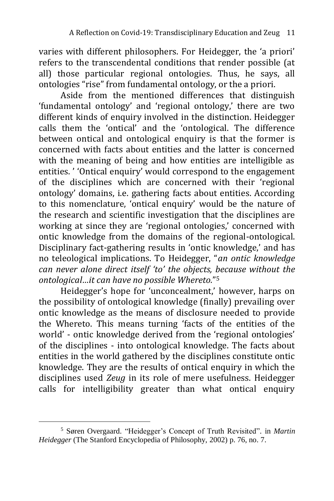varies with different philosophers. For Heidegger, the 'a priori' refers to the transcendental conditions that render possible (at all) those particular regional ontologies. Thus, he says, all ontologies "rise" from fundamental ontology, or the a priori.

Aside from the mentioned differences that distinguish 'fundamental ontology' and 'regional ontology,' there are two different kinds of enquiry involved in the distinction. Heidegger calls them the 'ontical' and the 'ontological. The difference between ontical and ontological enquiry is that the former is concerned with facts about entities and the latter is concerned with the meaning of being and how entities are intelligible as entities. ' 'Ontical enquiry' would correspond to the engagement of the disciplines which are concerned with their 'regional ontology' domains, i.e. gathering facts about entities. According to this nomenclature, 'ontical enquiry' would be the nature of the research and scientific investigation that the disciplines are working at since they are 'regional ontologies,' concerned with ontic knowledge from the domains of the regional-ontological. Disciplinary fact-gathering results in 'ontic knowledge,' and has no teleological implications. To Heidegger, "*an ontic knowledge can never alone direct itself 'to' the objects, because without the ontological…it can have no possible Whereto.*" 5

Heidegger's hope for 'unconcealment,' however, harps on the possibility of ontological knowledge (finally) prevailing over ontic knowledge as the means of disclosure needed to provide the Whereto. This means turning 'facts of the entities of the world' - ontic knowledge derived from the 'regional ontologies' of the disciplines - into ontological knowledge. The facts about entities in the world gathered by the disciplines constitute ontic knowledge. They are the results of ontical enquiry in which the disciplines used *Zeug* in its role of mere usefulness. Heidegger calls for intelligibility greater than what ontical enquiry

-

<sup>5</sup> Søren Overgaard. "Heidegger's Concept of Truth Revisited". in *Martin Heidegger* (The Stanford Encyclopedia of Philosophy, 2002) p. 76, no. 7.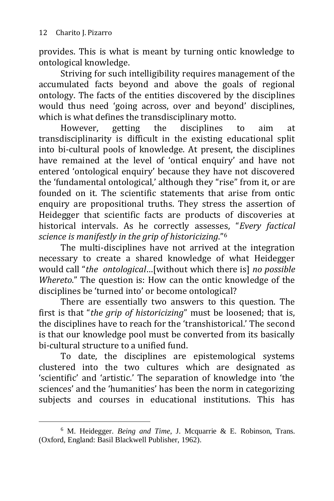-

provides. This is what is meant by turning ontic knowledge to ontological knowledge.

Striving for such intelligibility requires management of the accumulated facts beyond and above the goals of regional ontology. The facts of the entities discovered by the disciplines would thus need 'going across, over and beyond' disciplines, which is what defines the transdisciplinary motto.

However, getting the disciplines to aim at transdisciplinarity is difficult in the existing educational split into bi-cultural pools of knowledge. At present, the disciplines have remained at the level of 'ontical enquiry' and have not entered 'ontological enquiry' because they have not discovered the 'fundamental ontological,' although they "rise" from it, or are founded on it. The scientific statements that arise from ontic enquiry are propositional truths. They stress the assertion of Heidegger that scientific facts are products of discoveries at historical intervals. As he correctly assesses, "*Every factical science is manifestly in the grip of historicizing*."<sup>6</sup>

The multi-disciplines have not arrived at the integration necessary to create a shared knowledge of what Heidegger would call "*the ontological*…[without which there is] *no possible Whereto*." The question is: How can the ontic knowledge of the disciplines be 'turned into' or become ontological?

There are essentially two answers to this question. The first is that "*the grip of historicizing*" must be loosened; that is, the disciplines have to reach for the 'transhistorical.' The second is that our knowledge pool must be converted from its basically bi-cultural structure to a unified fund.

To date, the disciplines are epistemological systems clustered into the two cultures which are designated as 'scientific' and 'artistic.' The separation of knowledge into 'the sciences' and the 'humanities' has been the norm in categorizing subjects and courses in educational institutions. This has

<sup>6</sup> M. Heidegger. *Being and Time*, J. Mcquarrie & E. Robinson, Trans. (Oxford, England: Basil Blackwell Publisher, 1962).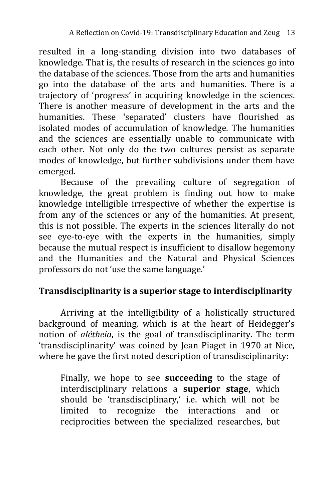resulted in a long-standing division into two databases of knowledge. That is, the results of research in the sciences go into the database of the sciences. Those from the arts and humanities go into the database of the arts and humanities. There is a trajectory of 'progress' in acquiring knowledge in the sciences. There is another measure of development in the arts and the humanities. These 'separated' clusters have flourished as isolated modes of accumulation of knowledge. The humanities and the sciences are essentially unable to communicate with each other. Not only do the two cultures persist as separate modes of knowledge, but further subdivisions under them have emerged.

Because of the prevailing culture of segregation of knowledge, the great problem is finding out how to make knowledge intelligible irrespective of whether the expertise is from any of the sciences or any of the humanities. At present, this is not possible. The experts in the sciences literally do not see eye-to-eye with the experts in the humanities, simply because the mutual respect is insufficient to disallow hegemony and the Humanities and the Natural and Physical Sciences professors do not 'use the same language.'

#### **Transdisciplinarity is a superior stage to interdisciplinarity**

Arriving at the intelligibility of a holistically structured background of meaning, which is at the heart of Heidegger's notion of *alétheia*, is the goal of transdisciplinarity. The term 'transdisciplinarity' was coined by Jean Piaget in 1970 at Nice, where he gave the first noted description of transdisciplinarity:

Finally, we hope to see **succeeding** to the stage of interdisciplinary relations a **superior stage**, which should be 'transdisciplinary,' i.e. which will not be limited to recognize the interactions and or reciprocities between the specialized researches, but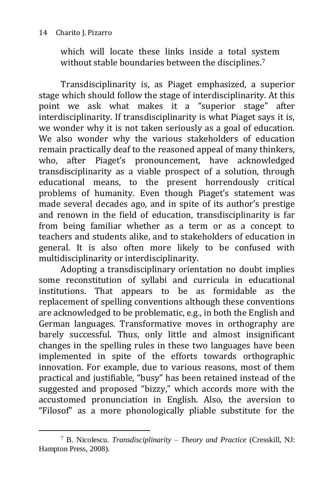#### 14 Charito J. Pizarro

which will locate these links inside a total system without stable boundaries between the disciplines. 7

Transdisciplinarity is, as Piaget emphasized, a superior stage which should follow the stage of interdisciplinarity. At this point we ask what makes it a "superior stage" after interdisciplinarity. If transdisciplinarity is what Piaget says it is, we wonder why it is not taken seriously as a goal of education. We also wonder why the various stakeholders of education remain practically deaf to the reasoned appeal of many thinkers, who, after Piaget's pronouncement, have acknowledged transdisciplinarity as a viable prospect of a solution, through educational means, to the present horrendously critical problems of humanity. Even though Piaget's statement was made several decades ago, and in spite of its author's prestige and renown in the field of education, transdisciplinarity is far from being familiar whether as a term or as a concept to teachers and students alike, and to stakeholders of education in general. It is also often more likely to be confused with multidisciplinarity or interdisciplinarity.

Adopting a transdisciplinary orientation no doubt implies some reconstitution of syllabi and curricula in educational institutions. That appears to be as formidable as the replacement of spelling conventions although these conventions are acknowledged to be problematic, e.g., in both the English and German languages. Transformative moves in orthography are barely successful. Thus, only little and almost insignificant changes in the spelling rules in these two languages have been implemented in spite of the efforts towards orthographic innovation. For example, due to various reasons, most of them practical and justifiable, "busy" has been retained instead of the suggested and proposed "bizzy," which accords more with the accustomed pronunciation in English. Also, the aversion to "Filosof" as a more phonologically pliable substitute for the

<sup>-</sup><sup>7</sup> B. Nicolescu. *Transdisciplinarity – Theory and Practice* (Cresskill, NJ: Hampton Press, 2008).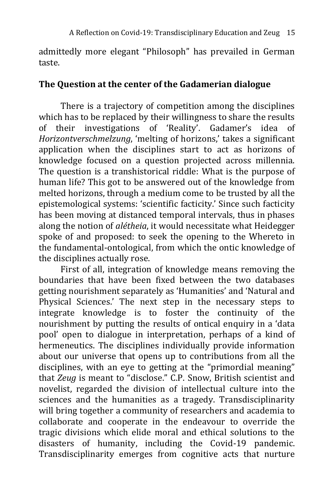admittedly more elegant "Philosoph" has prevailed in German taste.

#### **The Question at the center of the Gadamerian dialogue**

There is a trajectory of competition among the disciplines which has to be replaced by their willingness to share the results of their investigations of 'Reality'. Gadamer's idea of *Horizontverschmelzung*, 'melting of horizons,' takes a significant application when the disciplines start to act as horizons of knowledge focused on a question projected across millennia. The question is a transhistorical riddle: What is the purpose of human life? This got to be answered out of the knowledge from melted horizons, through a medium come to be trusted by all the epistemological systems: 'scientific facticity.' Since such facticity has been moving at distanced temporal intervals, thus in phases along the notion of *alétheia*, it would necessitate what Heidegger spoke of and proposed: to seek the opening to the Whereto in the fundamental-ontological, from which the ontic knowledge of the disciplines actually rose.

First of all, integration of knowledge means removing the boundaries that have been fixed between the two databases getting nourishment separately as 'Humanities' and 'Natural and Physical Sciences.' The next step in the necessary steps to integrate knowledge is to foster the continuity of the nourishment by putting the results of ontical enquiry in a 'data pool' open to dialogue in interpretation, perhaps of a kind of hermeneutics. The disciplines individually provide information about our universe that opens up to contributions from all the disciplines, with an eye to getting at the "primordial meaning" that *Zeug* is meant to "disclose." C.P. Snow, British scientist and novelist, regarded the division of intellectual culture into the sciences and the humanities as a tragedy. Transdisciplinarity will bring together a community of researchers and academia to collaborate and cooperate in the endeavour to override the tragic divisions which elide moral and ethical solutions to the disasters of humanity, including the Covid-19 pandemic. Transdisciplinarity emerges from cognitive acts that nurture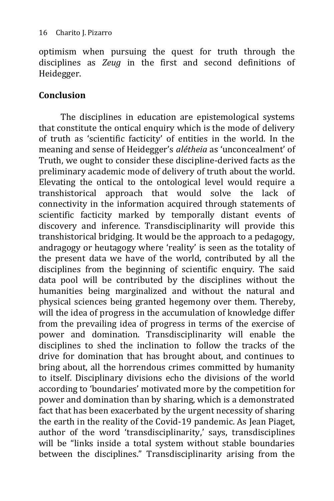optimism when pursuing the quest for truth through the disciplines as *Zeug* in the first and second definitions of Heidegger.

#### **Conclusion**

The disciplines in education are epistemological systems that constitute the ontical enquiry which is the mode of delivery of truth as 'scientific facticity' of entities in the world. In the meaning and sense of Heidegger's *alétheia* as 'unconcealment' of Truth, we ought to consider these discipline-derived facts as the preliminary academic mode of delivery of truth about the world. Elevating the ontical to the ontological level would require a transhistorical approach that would solve the lack of connectivity in the information acquired through statements of scientific facticity marked by temporally distant events of discovery and inference. Transdisciplinarity will provide this transhistorical bridging. It would be the approach to a pedagogy, andragogy or heutagogy where 'reality' is seen as the totality of the present data we have of the world, contributed by all the disciplines from the beginning of scientific enquiry. The said data pool will be contributed by the disciplines without the humanities being marginalized and without the natural and physical sciences being granted hegemony over them. Thereby, will the idea of progress in the accumulation of knowledge differ from the prevailing idea of progress in terms of the exercise of power and domination. Transdisciplinarity will enable the disciplines to shed the inclination to follow the tracks of the drive for domination that has brought about, and continues to bring about, all the horrendous crimes committed by humanity to itself. Disciplinary divisions echo the divisions of the world according to 'boundaries' motivated more by the competition for power and domination than by sharing, which is a demonstrated fact that has been exacerbated by the urgent necessity of sharing the earth in the reality of the Covid-19 pandemic. As Jean Piaget, author of the word 'transdisciplinarity,' says, transdisciplines will be "links inside a total system without stable boundaries between the disciplines." Transdisciplinarity arising from the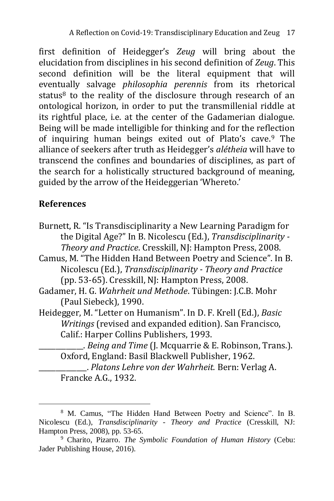first definition of Heidegger's *Zeug* will bring about the elucidation from disciplines in his second definition of *Zeug*. This second definition will be the literal equipment that will eventually salvage *philosophia perennis* from its rhetorical status<sup>8</sup> to the reality of the disclosure through research of an ontological horizon, in order to put the transmillenial riddle at its rightful place, i.e. at the center of the Gadamerian dialogue. Being will be made intelligible for thinking and for the reflection of inquiring human beings exited out of Plato's cave.<sup>9</sup> The alliance of seekers after truth as Heidegger's *alétheia* will have to transcend the confines and boundaries of disciplines, as part of the search for a holistically structured background of meaning, guided by the arrow of the Heideggerian 'Whereto.'

### **References**

-

- Burnett, R. "Is Transdisciplinarity a New Learning Paradigm for the Digital Age?" In B. Nicolescu (Ed.), *Transdisciplinarity - Theory and Practice*. Cresskill, NJ: Hampton Press, 2008.
- Camus, M. "The Hidden Hand Between Poetry and Science". In B. Nicolescu (Ed.), *Transdisciplinarity - Theory and Practice* (pp. 53-65). Cresskill, NJ: Hampton Press, 2008.
- Gadamer, H. G. *Wahrheit und Methode*. Tübingen: J.C.B. Mohr (Paul Siebeck), 1990.
- Heidegger, M. "Letter on Humanism". In D. F. Krell (Ed.), *Basic Writings* (revised and expanded edition). San Francisco, Calif.: Harper Collins Publishers, 1993.
	- \_\_\_\_\_\_\_\_\_\_\_\_\_. *Being and Time* (J. Mcquarrie & E. Robinson, Trans.). Oxford, England: Basil Blackwell Publisher, 1962.
	- \_\_\_\_\_\_\_\_\_\_\_\_\_\_. *Platons Lehre von der Wahrheit.* Bern: Verlag A. Francke A.G., 1932.

<sup>8</sup> M. Camus, "The Hidden Hand Between Poetry and Science". In B. Nicolescu (Ed.), *Transdisciplinarity - Theory and Practice* (Cresskill, NJ: Hampton Press, 2008), pp. 53-65.

<sup>9</sup> Charito, Pizarro. *The Symbolic Foundation of Human History* (Cebu: Jader Publishing House, 2016).